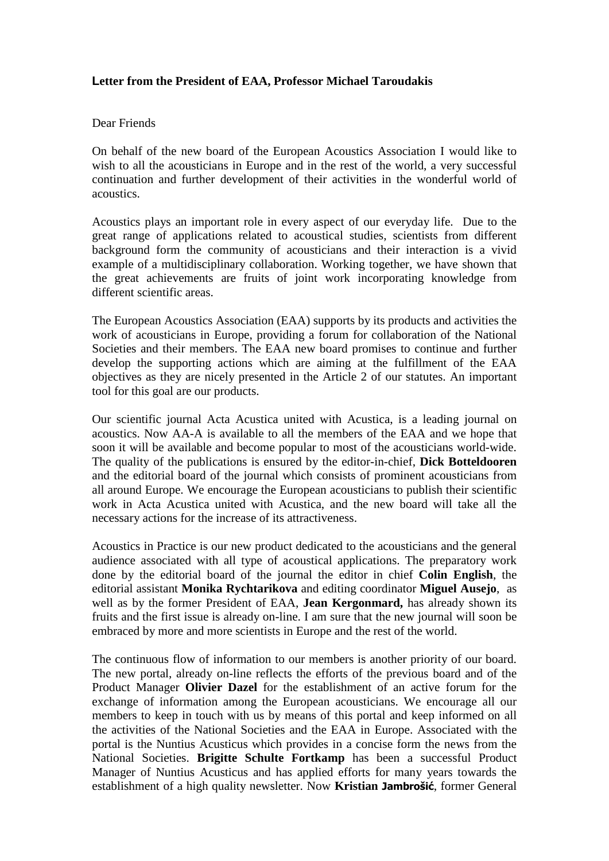## **Letter from the President of EAA, Professor Michael Taroudakis**

## Dear Friends

On behalf of the new board of the European Acoustics Association I would like to wish to all the acousticians in Europe and in the rest of the world, a very successful continuation and further development of their activities in the wonderful world of acoustics.

Acoustics plays an important role in every aspect of our everyday life. Due to the great range of applications related to acoustical studies, scientists from different background form the community of acousticians and their interaction is a vivid example of a multidisciplinary collaboration. Working together, we have shown that the great achievements are fruits of joint work incorporating knowledge from different scientific areas.

The European Acoustics Association (EAA) supports by its products and activities the work of acousticians in Europe, providing a forum for collaboration of the National Societies and their members. The EAA new board promises to continue and further develop the supporting actions which are aiming at the fulfillment of the EAA objectives as they are nicely presented in the Article 2 of our statutes. An important tool for this goal are our products.

Our scientific journal Acta Acustica united with Acustica, is a leading journal on acoustics. Now AA-A is available to all the members of the EAA and we hope that soon it will be available and become popular to most of the acousticians world-wide. The quality of the publications is ensured by the editor-in-chief, **Dick Botteldooren** and the editorial board of the journal which consists of prominent acousticians from all around Europe. We encourage the European acousticians to publish their scientific work in Acta Acustica united with Acustica, and the new board will take all the necessary actions for the increase of its attractiveness.

Acoustics in Practice is our new product dedicated to the acousticians and the general audience associated with all type of acoustical applications. The preparatory work done by the editorial board of the journal the editor in chief **Colin English**, the editorial assistant **Monika Rychtarikova** and editing coordinator **Miguel Ausejo**, as well as by the former President of EAA, **Jean Kergonmard,** has already shown its fruits and the first issue is already on-line. I am sure that the new journal will soon be embraced by more and more scientists in Europe and the rest of the world.

The continuous flow of information to our members is another priority of our board. The new portal, already on-line reflects the efforts of the previous board and of the Product Manager **Olivier Dazel** for the establishment of an active forum for the exchange of information among the European acousticians. We encourage all our members to keep in touch with us by means of this portal and keep informed on all the activities of the National Societies and the EAA in Europe. Associated with the portal is the Nuntius Acusticus which provides in a concise form the news from the National Societies. **Brigitte Schulte Fortkamp** has been a successful Product Manager of Nuntius Acusticus and has applied efforts for many years towards the establishment of a high quality newsletter. Now **Kristian Jambrošić**, former General